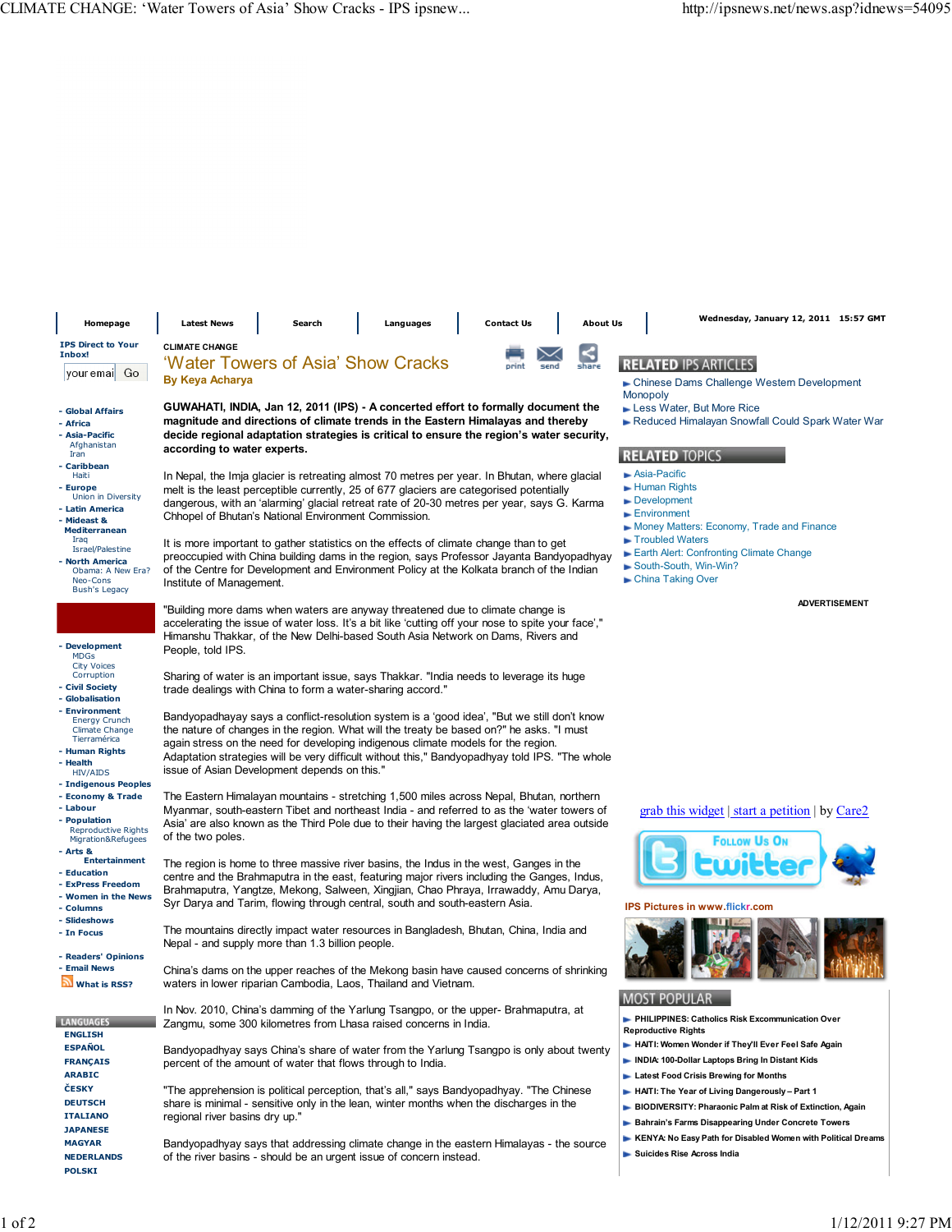